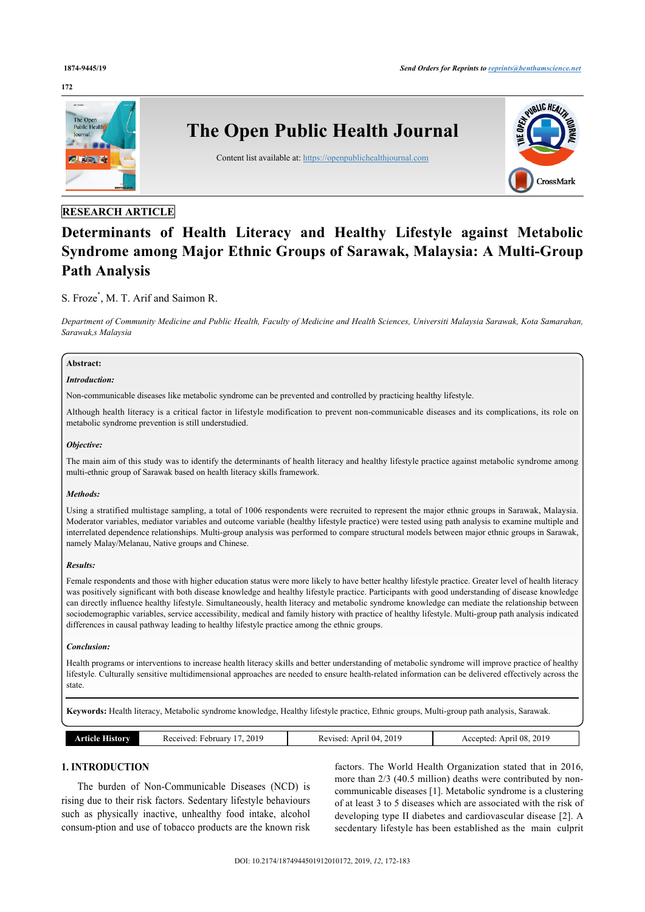# **172**



# **RESEARCH ARTICLE**

# **Determinants of Health Literacy and Healthy Lifestyle against Metabolic Syndrome among Major Ethnic Groups of Sarawak, Malaysia: A Multi-Group Path Analysis**

# S. Froze[\\*](#page-1-0) , M. T. Arif and Saimon R.

*Department of Community Medicine and Public Health, Faculty of Medicine and Health Sciences, Universiti Malaysia Sarawak, Kota Samarahan, Sarawak,s Malaysia*

# **Abstract:**

# *Introduction:*

Non-communicable diseases like metabolic syndrome can be prevented and controlled by practicing healthy lifestyle.

Although health literacy is a critical factor in lifestyle modification to prevent non-communicable diseases and its complications, its role on metabolic syndrome prevention is still understudied.

### *Objective:*

The main aim of this study was to identify the determinants of health literacy and healthy lifestyle practice against metabolic syndrome among multi-ethnic group of Sarawak based on health literacy skills framework.

# *Methods:*

Using a stratified multistage sampling, a total of 1006 respondents were recruited to represent the major ethnic groups in Sarawak, Malaysia. Moderator variables, mediator variables and outcome variable (healthy lifestyle practice) were tested using path analysis to examine multiple and interrelated dependence relationships. Multi-group analysis was performed to compare structural models between major ethnic groups in Sarawak, namely Malay/Melanau, Native groups and Chinese.

#### *Results:*

Female respondents and those with higher education status were more likely to have better healthy lifestyle practice. Greater level of health literacy was positively significant with both disease knowledge and healthy lifestyle practice. Participants with good understanding of disease knowledge can directly influence healthy lifestyle. Simultaneously, health literacy and metabolic syndrome knowledge can mediate the relationship between sociodemographic variables, service accessibility, medical and family history with practice of healthy lifestyle. Multi-group path analysis indicated differences in causal pathway leading to healthy lifestyle practice among the ethnic groups.

#### *Conclusion:*

Health programs or interventions to increase health literacy skills and better understanding of metabolic syndrome will improve practice of healthy lifestyle. Culturally sensitive multidimensional approaches are needed to ensure health-related information can be delivered effectively across the state.

**Keywords:** Health literacy, Metabolic syndrome knowledge, Healthy lifestyle practice, Ethnic groups, Multi-group path analysis, Sarawak.

| 2019<br>History<br>Received:<br>∙ebruarv<br>rticle : | 2019<br>(14)<br>Anri<br>7011000<br>ЛC<br>15 U.U | April 08, 2019<br>Accepted |
|------------------------------------------------------|-------------------------------------------------|----------------------------|
|------------------------------------------------------|-------------------------------------------------|----------------------------|

# **1. INTRODUCTION**

The burden of Non-Communicable Diseases (NCD) is rising due to their risk factors. Sedentary lifestyle behaviours such as physically inactive, unhealthy food intake, alcohol consum-ption and use of tobacco products are the known risk

factors. The World Health Organization stated that in 2016, more than 2/3 (40.5 million) deaths were contributed by noncommunicable diseases [\[1\]](#page-9-0). Metabolic syndrome is a clustering of at least 3 to 5 diseases which are associated with the risk of developing type II diabetes and cardiovascular disease [\[2\]](#page-9-1). A secdentary lifestyle has been established as the main culprit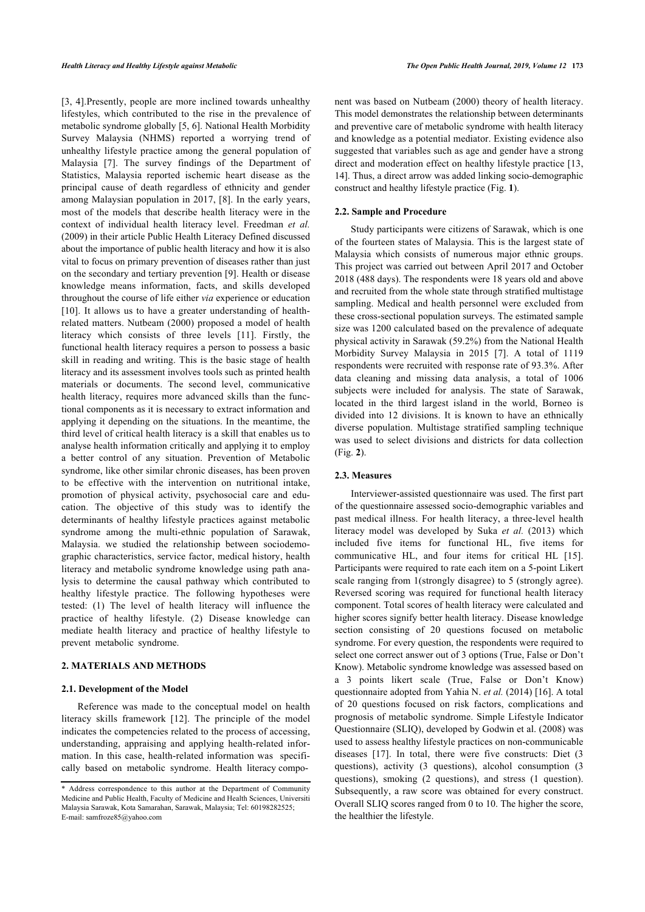[[3](#page-9-2), [4\]](#page-10-0).Presently, people are more inclined towards unhealthy lifestyles, which contributed to the rise in the prevalence of metabolic syndrome globally [\[5,](#page-10-1) [6\]](#page-10-2). National Health Morbidity Survey Malaysia (NHMS) reported a worrying trend of unhealthy lifestyle practice among the general population of Malaysia[[7\]](#page-10-3). The survey findings of the Department of Statistics, Malaysia reported ischemic heart disease as the principal cause of death regardless of ethnicity and gender among Malaysian population in 2017, [\[8\]](#page-10-4). In the early years, most of the models that describe health literacy were in the context of individual health literacy level. Freedman *et al.* (2009) in their article Public Health Literacy Defined discussed about the importance of public health literacy and how it is also vital to focus on primary prevention of diseases rather than just on the secondary and tertiary prevention [[9](#page-10-5)]. Health or disease knowledge means information, facts, and skills developed throughout the course of life either *via* experience or education [[10\]](#page-10-6). It allows us to have a greater understanding of healthrelated matters. Nutbeam (2000) proposed a model of health literacy which consists of three levels [\[11](#page-10-7)]. Firstly, the functional health literacy requires a person to possess a basic skill in reading and writing. This is the basic stage of health literacy and its assessment involves tools such as printed health materials or documents. The second level, communicative health literacy, requires more advanced skills than the functional components as it is necessary to extract information and applying it depending on the situations. In the meantime, the third level of critical health literacy is a skill that enables us to analyse health information critically and applying it to employ a better control of any situation. Prevention of Metabolic syndrome, like other similar chronic diseases, has been proven to be effective with the intervention on nutritional intake, promotion of physical activity, psychosocial care and education. The objective of this study was to identify the determinants of healthy lifestyle practices against metabolic syndrome among the multi-ethnic population of Sarawak, Malaysia. we studied the relationship between sociodemographic characteristics, service factor, medical history, health literacy and metabolic syndrome knowledge using path analysis to determine the causal pathway which contributed to healthy lifestyle practice. The following hypotheses were tested: (1) The level of health literacy will influence the practice of healthy lifestyle. (2) Disease knowledge can mediate health literacy and practice of healthy lifestyle to prevent metabolic syndrome.

# **2. MATERIALS AND METHODS**

#### **2.1. Development of the Model**

Reference was made to the conceptual model on health literacy skills framework[[12\]](#page-10-8). The principle of the model indicates the competencies related to the process of accessing, understanding, appraising and applying health-related information. In this case, health-related information was specifically based on metabolic syndrome. Health literacy component was based on Nutbeam (2000) theory of health literacy. This model demonstrates the relationship between determinants and preventive care of metabolic syndrome with health literacy and knowledge as a potential mediator. Existing evidence also suggested that variables such as age and gender have a strong direct and moderation effect on healthy lifestyle practice [[13](#page-10-9), [14](#page-10-10)]. Thus, a direct arrow was added linking socio-demographic construct and healthy lifestyle practice (Fig. **[1](#page-1-1)**).

#### **2.2. Sample and Procedure**

Study participants were citizens of Sarawak, which is one of the fourteen states of Malaysia. This is the largest state of Malaysia which consists of numerous major ethnic groups. This project was carried out between April 2017 and October 2018 (488 days). The respondents were 18 years old and above and recruited from the whole state through stratified multistage sampling. Medical and health personnel were excluded from these cross-sectional population surveys. The estimated sample size was 1200 calculated based on the prevalence of adequate physical activity in Sarawak (59.2%) from the National Health Morbidity Survey Malaysia in 2015[[7](#page-10-3)]. A total of 1119 respondents were recruited with response rate of 93.3%. After data cleaning and missing data analysis, a total of 1006 subjects were included for analysis. The state of Sarawak, located in the third largest island in the world, Borneo is divided into 12 divisions. It is known to have an ethnically diverse population. Multistage stratified sampling technique was used to select divisions and districts for data collection (Fig. **[2](#page-2-0)**).

#### **2.3. Measures**

Interviewer-assisted questionnaire was used. The first part of the questionnaire assessed socio-demographic variables and past medical illness. For health literacy, a three-level health literacy model was developed by Suka *et al.* (2013) which included five items for functional HL, five items for communicative HL, and four items for critical HL[[15](#page-10-11)]. Participants were required to rate each item on a 5-point Likert scale ranging from 1(strongly disagree) to 5 (strongly agree). Reversed scoring was required for functional health literacy component. Total scores of health literacy were calculated and higher scores signify better health literacy. Disease knowledge section consisting of 20 questions focused on metabolic syndrome. For every question, the respondents were required to select one correct answer out of 3 options (True, False or Don't Know). Metabolic syndrome knowledge was assessed based on a 3 points likert scale (True, False or Don't Know) questionnaire adopted from Yahia N. *et al.* (2014) [[16\]](#page-10-12). A total of 20 questions focused on risk factors, complications and prognosis of metabolic syndrome. Simple Lifestyle Indicator Questionnaire (SLIQ), developed by Godwin et al. (2008) was used to assess healthy lifestyle practices on non-communicable diseases[[17](#page-10-13)]. In total, there were five constructs: Diet (3 questions), activity (3 questions), alcohol consumption (3 questions), smoking (2 questions), and stress (1 question). Subsequently, a raw score was obtained for every construct. Overall SLIQ scores ranged from 0 to 10. The higher the score, the healthier the lifestyle.

<span id="page-1-1"></span><span id="page-1-0"></span><sup>\*</sup> Address correspondence to this author at the Department of Community Medicine and Public Health, Faculty of Medicine and Health Sciences, Universiti Malaysia Sarawak, Kota Samarahan, Sarawak, Malaysia; Tel: 60198282525; E-mail: [samfroze85@yahoo.com](mailto:samfroze85@yahoo.com)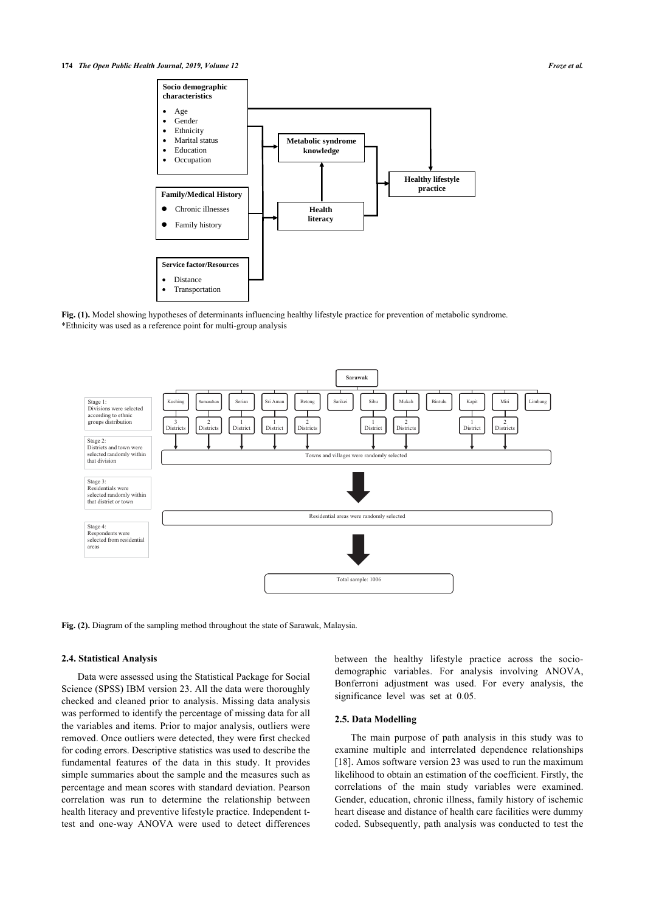

**Fig. (1).** Model showing hypotheses of determinants influencing healthy lifestyle practice for prevention of metabolic syndrome. \*Ethnicity was used as a reference point for multi-group analysis

<span id="page-2-0"></span>

**Fig. (2).** Diagram of the sampling method throughout the state of Sarawak, Malaysia.

#### **2.4. Statistical Analysis**

Data were assessed using the Statistical Package for Social Science (SPSS) IBM version 23. All the data were thoroughly checked and cleaned prior to analysis. Missing data analysis was performed to identify the percentage of missing data for all the variables and items. Prior to major analysis, outliers were removed. Once outliers were detected, they were first checked for coding errors. Descriptive statistics was used to describe the fundamental features of the data in this study. It provides simple summaries about the sample and the measures such as percentage and mean scores with standard deviation. Pearson correlation was run to determine the relationship between health literacy and preventive lifestyle practice. Independent ttest and one-way ANOVA were used to detect differences between the healthy lifestyle practice across the sociodemographic variables. For analysis involving ANOVA, Bonferroni adjustment was used. For every analysis, the significance level was set at 0.05.

# **2.5. Data Modelling**

The main purpose of path analysis in this study was to examine multiple and interrelated dependence relationships [[18](#page-10-14)]. Amos software version 23 was used to run the maximum likelihood to obtain an estimation of the coefficient. Firstly, the correlations of the main study variables were examined. Gender, education, chronic illness, family history of ischemic heart disease and distance of health care facilities were dummy coded. Subsequently, path analysis was conducted to test the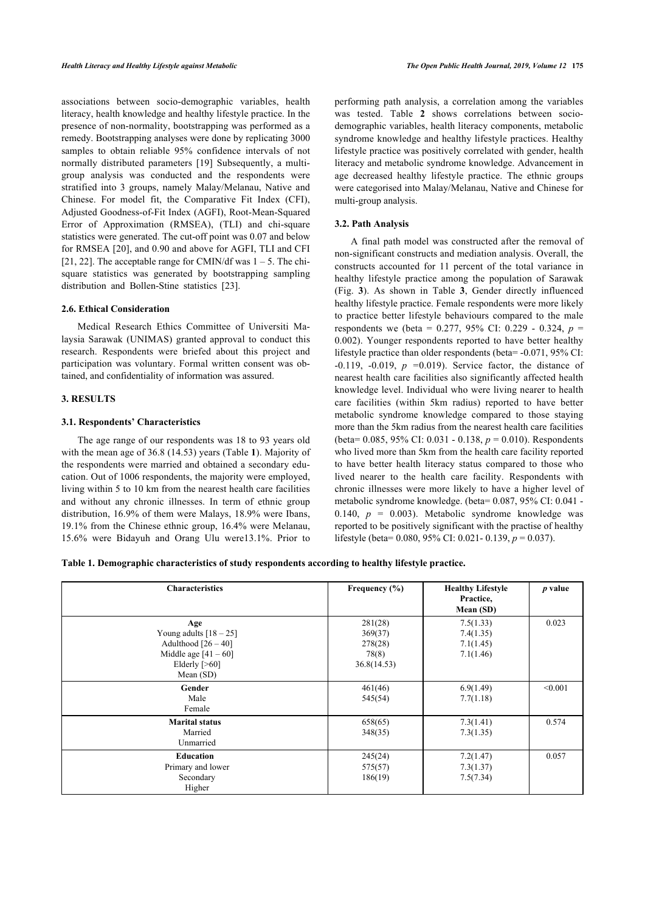associations between socio-demographic variables, health literacy, health knowledge and healthy lifestyle practice. In the presence of non-normality, bootstrapping was performed as a remedy. Bootstrapping analyses were done by replicating 3000 samples to obtain reliable 95% confidence intervals of not normally distributed parameters [\[19](#page-10-15)] Subsequently, a multigroup analysis was conducted and the respondents were stratified into 3 groups, namely Malay/Melanau, Native and Chinese. For model fit, the Comparative Fit Index (CFI), Adjusted Goodness-of-Fit Index (AGFI), Root-Mean-Squared Error of Approximation (RMSEA), (TLI) and chi-square statistics were generated. The cut-off point was 0.07 and below for RMSEA [\[20](#page-10-16)], and 0.90 and above for AGFI, TLI and CFI [[21,](#page-10-17) [22](#page-10-18)]. The acceptable range for CMIN/df was  $1 - 5$ . The chisquare statistics was generated by bootstrapping sampling distribution and Bollen-Stine statistics[[23\]](#page-10-19).

#### **2.6. Ethical Consideration**

Medical Research Ethics Committee of Universiti Malaysia Sarawak (UNIMAS) granted approval to conduct this research. Respondents were briefed about this project and participation was voluntary. Formal written consent was obtained, and confidentiality of information was assured.

# **3. RESULTS**

# **3.1. Respondents' Characteristics**

The age range of our respondents was 18 to 93 years old with the mean age of 36.8 (14.53) years (Table **[1](#page-3-0)**). Majority of the respondents were married and obtained a secondary education. Out of 1006 respondents, the majority were employed, living within 5 to 10 km from the nearest health care facilities and without any chronic illnesses. In term of ethnic group distribution, 16.9% of them were Malays, 18.9% were Ibans, 19.1% from the Chinese ethnic group, 16.4% were Melanau, 15.6% were Bidayuh and Orang Ulu were13.1%. Prior to

performing path analysis, a correlation among the variables was tested. Table**2** shows correlations between sociodemographic variables, health literacy components, metabolic syndrome knowledge and healthy lifestyle practices. Healthy lifestyle practice was positively correlated with gender, health literacy and metabolic syndrome knowledge. Advancement in age decreased healthy lifestyle practice. The ethnic groups were categorised into Malay/Melanau, Native and Chinese for multi-group analysis.

# **3.2. Path Analysis**

A final path model was constructed after the removal of non-significant constructs and mediation analysis. Overall, the constructs accounted for 11 percent of the total variance in healthy lifestyle practice among the population of Sarawak (Fig.**3**). As shown in Table**3**, Gender directly influenced healthy lifestyle practice. Female respondents were more likely to practice better lifestyle behaviours compared to the male respondents we (beta = 0.277, 95% CI: 0.229 - 0.324, *p* = 0.002). Younger respondents reported to have better healthy lifestyle practice than older respondents (beta= -0.071, 95% CI: -0.119, -0.019, *p =*0.019). Service factor, the distance of nearest health care facilities also significantly affected health knowledge level. Individual who were living nearer to health care facilities (within 5km radius) reported to have better metabolic syndrome knowledge compared to those staying more than the 5km radius from the nearest health care facilities (beta= 0.085, 95% CI: 0.031 - 0.138, *p* = 0.010). Respondents who lived more than 5km from the health care facility reported to have better health literacy status compared to those who lived nearer to the health care facility. Respondents with chronic illnesses were more likely to have a higher level of metabolic syndrome knowledge. (beta= 0.087, 95% CI: 0.041 - 0.140,  $p = 0.003$ ). Metabolic syndrome knowledge was reported to be positively significant with the practise of healthy lifestyle (beta= 0.080, 95% CI: 0.021- 0.139, *p* = 0.037).

<span id="page-3-0"></span>**Table 1. Demographic characteristics of study respondents according to healthy lifestyle practice.**

| <b>Characteristics</b>                                                                                             | Frequency $(\% )$                                     | <b>Healthy Lifestyle</b><br>Practice,<br>Mean (SD) | $p$ value |
|--------------------------------------------------------------------------------------------------------------------|-------------------------------------------------------|----------------------------------------------------|-----------|
| Age<br>Young adults $[18 - 25]$<br>Adulthood $[26 - 40]$<br>Middle age $[41 - 60]$<br>Elderly $[>60]$<br>Mean (SD) | 281(28)<br>369(37)<br>278(28)<br>78(8)<br>36.8(14.53) | 7.5(1.33)<br>7.4(1.35)<br>7.1(1.45)<br>7.1(1.46)   | 0.023     |
| Gender<br>Male<br>Female                                                                                           | 461(46)<br>545(54)                                    | 6.9(1.49)<br>7.7(1.18)                             | < 0.001   |
| <b>Marital status</b><br>Married<br>Unmarried                                                                      | 658(65)<br>348(35)                                    | 7.3(1.41)<br>7.3(1.35)                             | 0.574     |
| <b>Education</b><br>Primary and lower<br>Secondary<br>Higher                                                       | 245(24)<br>575(57)<br>186(19)                         | 7.2(1.47)<br>7.3(1.37)<br>7.5(7.34)                | 0.057     |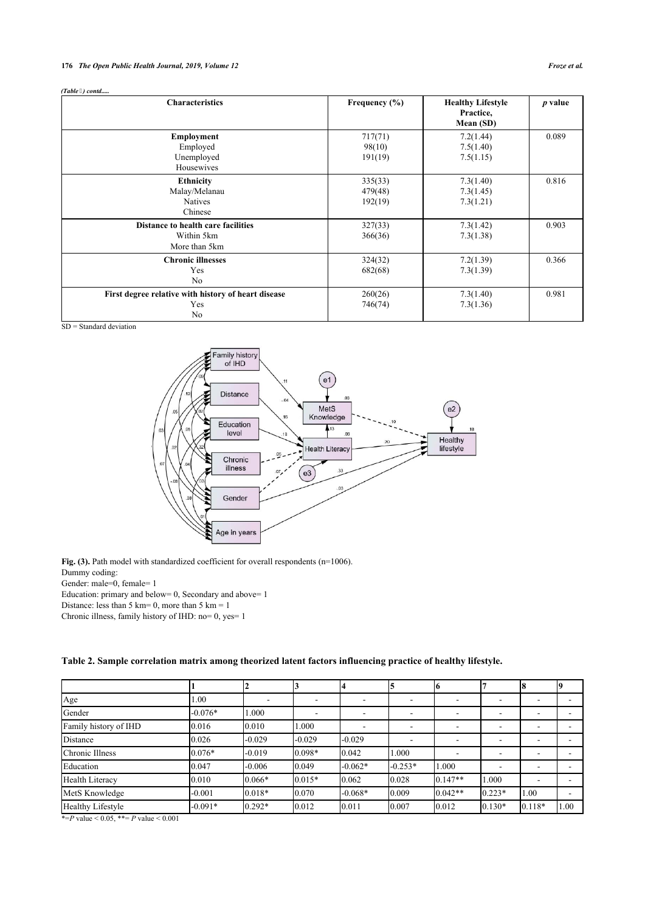# **176** *The Open Public Health Journal, 2019, Volume 12 Froze et al.*

| <b>Characteristics</b>                                            | Frequency $(\% )$             | <b>Healthy Lifestyle</b><br>Practice,<br>Mean (SD) | $p$ value |
|-------------------------------------------------------------------|-------------------------------|----------------------------------------------------|-----------|
| <b>Employment</b><br>Employed<br>Unemployed<br>Housewives         | 717(71)<br>98(10)<br>191(19)  | 7.2(1.44)<br>7.5(1.40)<br>7.5(1.15)                | 0.089     |
| <b>Ethnicity</b><br>Malay/Melanau<br><b>Natives</b><br>Chinese    | 335(33)<br>479(48)<br>192(19) | 7.3(1.40)<br>7.3(1.45)<br>7.3(1.21)                | 0.816     |
| Distance to health care facilities<br>Within 5km<br>More than 5km | 327(33)<br>366(36)            | 7.3(1.42)<br>7.3(1.38)                             | 0.903     |
| <b>Chronic illnesses</b><br>Yes<br>N <sub>o</sub>                 | 324(32)<br>682(68)            | 7.2(1.39)<br>7.3(1.39)                             | 0.366     |
| First degree relative with history of heart disease<br>Yes<br>No  | 260(26)<br>746(74)            | 7.3(1.40)<br>7.3(1.36)                             | 0.981     |

<span id="page-4-1"></span> $SD = Standard deviation$ 



Fig. (3). Path model with standardized coefficient for overall respondents (n=1006). Dummy coding: Gender: male=0, female=1

Education: primary and below= 0, Secondary and above= 1

Distance: less than 5 km =  $0$ , more than 5 km =  $1$ 

Chronic illness, family history of IHD: no= 0, yes= 1

<span id="page-4-0"></span>

| Table 2. Sample correlation matrix among theorized latent factors influencing practice of healthy lifestyle. |  |  |  |
|--------------------------------------------------------------------------------------------------------------|--|--|--|
|--------------------------------------------------------------------------------------------------------------|--|--|--|

| Age                   | 1.00      |          |          | -         |           |           |          |          |      |
|-----------------------|-----------|----------|----------|-----------|-----------|-----------|----------|----------|------|
| Gender                | $-0.076*$ | 1.000    |          | ۰         |           |           |          |          |      |
| Family history of IHD | 0.016     | 0.010    | 1.000    | ۰         | ۰         |           | -        |          |      |
| Distance              | 0.026     | $-0.029$ | $-0.029$ | $-0.029$  |           |           |          |          |      |
| Chronic Illness       | $0.076*$  | $-0.019$ | 0.098*   | 0.042     | 1.000     |           |          |          |      |
| Education             | 0.047     | $-0.006$ | 0.049    | $-0.062*$ | $-0.253*$ | 1.000     |          |          |      |
| Health Literacy       | 0.010     | $0.066*$ | $0.015*$ | 0.062     | 0.028     | $0.147**$ | 1.000    |          |      |
| MetS Knowledge        | $-0.001$  | $0.018*$ | 0.070    | $-0.068*$ | 0.009     | $0.042**$ | $0.223*$ | 1.00     |      |
| Healthy Lifestyle     | $-0.091*$ | $0.292*$ | 0.012    | 0.011     | 0.007     | 0.012     | $0.130*$ | $0.118*$ | 1.00 |

\*= $P$  value < 0.05, \*\*=  $P$  value < 0.001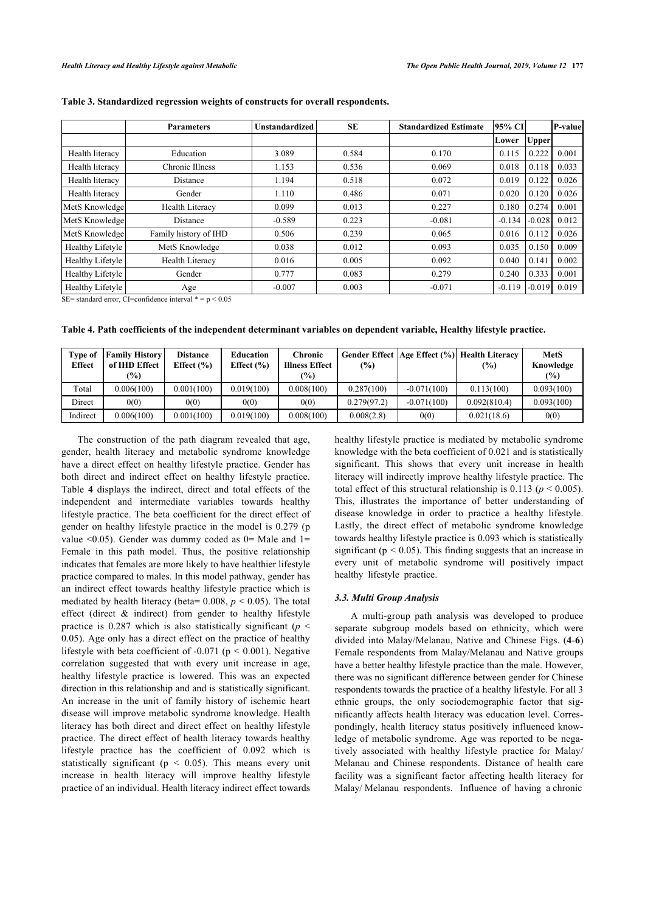|                  | <b>Parameters</b>      | <b>Unstandardized</b> | SE    | <b>Standardized Estimate</b> | 95% CI   |              | P-value |
|------------------|------------------------|-----------------------|-------|------------------------------|----------|--------------|---------|
|                  |                        |                       |       |                              | Lower    | <b>Upper</b> |         |
| Health literacy  | Education              | 3.089                 | 0.584 | 0.170                        | 0.115    | 0.222        | 0.001   |
| Health literacy  | Chronic Illness        | 1.153                 | 0.536 | 0.069                        | 0.018    | 0.118        | 0.033   |
| Health literacy  | Distance               | 1.194                 | 0.518 | 0.072                        | 0.019    | 0.122        | 0.026   |
| Health literacy  | Gender                 | 1.110                 | 0.486 | 0.071                        | 0.020    | 0.120        | 0.026   |
| MetS Knowledge   | <b>Health Literacy</b> | 0.099                 | 0.013 | 0.227                        | 0.180    | 0.274        | 0.001   |
| MetS Knowledge   | Distance               | $-0.589$              | 0.223 | $-0.081$                     | $-0.134$ | $-0.028$     | 0.012   |
| MetS Knowledge   | Family history of IHD  | 0.506                 | 0.239 | 0.065                        | 0.016    | 0.112        | 0.026   |
| Healthy Lifetyle | MetS Knowledge         | 0.038                 | 0.012 | 0.093                        | 0.035    | 0.150        | 0.009   |
| Healthy Lifetyle | <b>Health Literacy</b> | 0.016                 | 0.005 | 0.092                        | 0.040    | 0.141        | 0.002   |
| Healthy Lifetyle | Gender                 | 0.777                 | 0.083 | 0.279                        | 0.240    | 0.333        | 0.001   |
| Healthy Lifetyle | Age                    | $-0.007$              | 0.003 | $-0.071$                     | $-0.119$ | $-0.019$     | 0.019   |

<span id="page-5-0"></span>**Table 3. Standardized regression weights of constructs for overall respondents.**

SE= standard error, CI=confidence interval  $* = p < 0.05$ 

<span id="page-5-1"></span>**Table 4. Path coefficients of the independent determinant variables on dependent variable, Healthy lifestyle practice.**

| <b>Type of</b><br><b>Effect</b> | <b>Family History</b><br>of IHD Effect<br>$\frac{1}{2}$ | <b>Distance</b><br>Effect $(\% )$ | Education<br>Effect $(\% )$ | Chronic<br><b>Illness Effect</b><br>$\frac{9}{6}$ | $(\%)$      |               | Gender Effect   Age Effect (%)  Health Literacy<br>$\frac{1}{2}$ | <b>MetS</b><br>Knowledge<br>(%) |
|---------------------------------|---------------------------------------------------------|-----------------------------------|-----------------------------|---------------------------------------------------|-------------|---------------|------------------------------------------------------------------|---------------------------------|
| Total                           | 0.006(100)                                              | 0.001(100)                        | 0.019(100)                  | 0.008(100)                                        | 0.287(100)  | $-0.071(100)$ | 0.113(100)                                                       | 0.093(100)                      |
| Direct                          | 0(0)                                                    | 0(0)                              | 0(0)                        | 0(0)                                              | 0.279(97.2) | $-0.071(100)$ | 0.092(810.4)                                                     | 0.093(100)                      |
| Indirect                        | 0.006(100)                                              | 0.001(100)                        | 0.019(100)                  | 0.008(100)                                        | 0.008(2.8)  | 0(0)          | 0.021(18.6)                                                      | 0(0)                            |

<span id="page-5-2"></span>The construction of the path diagram revealed that age, gender, health literacy and metabolic syndrome knowledge have a direct effect on healthy lifestyle practice. Gender has both direct and indirect effect on healthy lifestyle practice. Table**4** displays the indirect, direct and total effects of the independent and intermediate variables towards healthy lifestyle practice. The beta coefficient for the direct effect of gender on healthy lifestyle practice in the model is 0.279 (p value  $\leq 0.05$ ). Gender was dummy coded as 0= Male and 1= Female in this path model. Thus, the positive relationship indicates that females are more likely to have healthier lifestyle practice compared to males. In this model pathway, gender has an indirect effect towards healthy lifestyle practice which is mediated by health literacy (beta=  $0.008$ ,  $p < 0.05$ ). The total effect (direct & indirect) from gender to healthy lifestyle practice is 0.287 which is also statistically significant ( $p \leq$ 0.05). Age only has a direct effect on the practice of healthy lifestyle with beta coefficient of -0.071 (p *<* 0.001). Negative correlation suggested that with every unit increase in age, healthy lifestyle practice is lowered. This was an expected direction in this relationship and and is statistically significant. An increase in the unit of family history of ischemic heart disease will improve metabolic syndrome knowledge. Health literacy has both direct and direct effect on healthy lifestyle practice. The direct effect of health literacy towards healthy lifestyle practice has the coefficient of 0.092 which is statistically significant ( $p < 0.05$ ). This means every unit increase in health literacy will improve healthy lifestyle practice of an individual. Health literacy indirect effect towards

healthy lifestyle practice is mediated by metabolic syndrome knowledge with the beta coefficient of 0.021 and is statistically significant. This shows that every unit increase in health literacy will indirectly improve healthy lifestyle practice. The total effect of this structural relationship is 0.113 ( $p < 0.005$ ). This, illustrates the importance of better understanding of disease knowledge in order to practice a healthy lifestyle. Lastly, the direct effect of metabolic syndrome knowledge towards healthy lifestyle practice is 0.093 which is statistically significant (p *<* 0.05). This finding suggests that an increase in every unit of metabolic syndrome will positively impact healthy lifestyle practice.

## *3.3. Multi Group Analysis*

A multi-group path analysis was developed to produce separate subgroup models based on ethnicity, which were divided into Malay/Melanau, Native and Chinese Figs. (**[4](#page-5-2)**-**[6](#page-6-0)**) Female respondents from Malay/Melanau and Native groups have a better healthy lifestyle practice than the male. However, there was no significant difference between gender for Chinese respondents towards the practice of a healthy lifestyle. For all 3 ethnic groups, the only sociodemographic factor that significantly affects health literacy was education level. Correspondingly, health literacy status positively influenced knowledge of metabolic syndrome. Age was reported to be negatively associated with healthy lifestyle practice for Malay/ Melanau and Chinese respondents. Distance of health care facility was a significant factor affecting health literacy for Malay/ Melanau respondents. Influence of having a chronic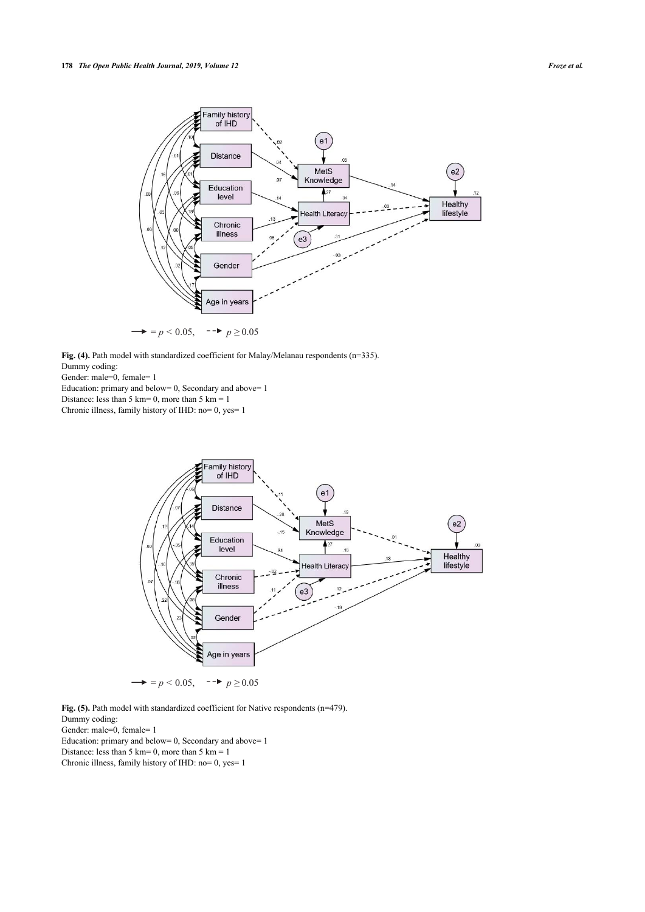

Fig. (4). Path model with standardized coefficient for Malay/Melanau respondents (n=335). Dummy coding:

Gender: male=0, female= 1

Education: primary and below=  $0$ , Secondary and above=  $1$ 

Distance: less than 5 km = 0, more than 5 km = 1

Chronic illness, family history of IHD: no= 0, yes= 1



Fig. (5). Path model with standardized coefficient for Native respondents (n=479). Dummy coding: Gender: male=0, female=1 Education: primary and below=  $0$ , Secondary and above=  $1$ 

Distance: less than 5 km = 0, more than 5 km = 1

<span id="page-6-0"></span>Chronic illness, family history of IHD: no= 0, yes= 1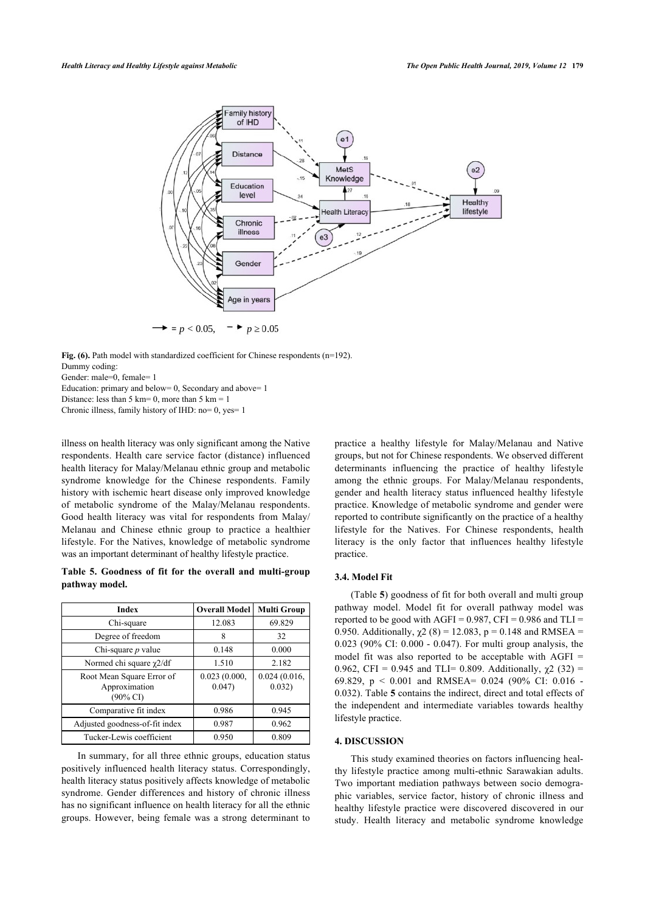

Fig. (6). Path model with standardized coefficient for Chinese respondents (n=192). Dummy coding:

Gender: male=0, female= 1

Education: primary and below= 0, Secondary and above= 1

Distance: less than 5 km = 0, more than 5 km = 1

Chronic illness, family history of IHD: no= 0, yes= 1

illness on health literacy was only significant among the Native respondents. Health care service factor (distance) influenced health literacy for Malay/Melanau ethnic group and metabolic syndrome knowledge for the Chinese respondents. Family history with ischemic heart disease only improved knowledge of metabolic syndrome of the Malay/Melanau respondents. Good health literacy was vital for respondents from Malay/ Melanau and Chinese ethnic group to practice a healthier lifestyle. For the Natives, knowledge of metabolic syndrome was an important determinant of healthy lifestyle practice.

# <span id="page-7-0"></span>**Table 5. Goodness of fit for the overall and multi-group pathway model.**

| <b>Index</b>                                                      | <b>Overall Model</b>  | <b>Multi Group</b>     |
|-------------------------------------------------------------------|-----------------------|------------------------|
| Chi-square                                                        | 12.083                | 69.829                 |
| Degree of freedom                                                 |                       | 32                     |
| Chi-square $p$ value                                              | 0.148                 | 0.000                  |
| Normed chi square $\chi$ 2/df                                     | 1.510                 | 2.182                  |
| Root Mean Square Error of<br>Approximation<br>$(90\% \text{ CI})$ | 0.023(0.000,<br>0.047 | 0.024(0.016,<br>0.032) |
| Comparative fit index                                             | 0.986                 | 0.945                  |
| Adjusted goodness-of-fit index                                    | 0.987                 | 0.962                  |
| Tucker-Lewis coefficient                                          | 0.950                 | 0.809                  |

In summary, for all three ethnic groups, education status positively influenced health literacy status. Correspondingly, health literacy status positively affects knowledge of metabolic syndrome. Gender differences and history of chronic illness has no significant influence on health literacy for all the ethnic groups. However, being female was a strong determinant to

practice a healthy lifestyle for Malay/Melanau and Native groups, but not for Chinese respondents. We observed different determinants influencing the practice of healthy lifestyle among the ethnic groups. For Malay/Melanau respondents, gender and health literacy status influenced healthy lifestyle practice. Knowledge of metabolic syndrome and gender were reported to contribute significantly on the practice of a healthy lifestyle for the Natives. For Chinese respondents, health literacy is the only factor that influences healthy lifestyle practice.

# **3.4. Model Fit**

(Table **[5](#page-7-0)**) goodness of fit for both overall and multi group pathway model. Model fit for overall pathway model was reported to be good with AGFI =  $0.987$ , CFI =  $0.986$  and TLI = 0.950. Additionally,  $\chi$ 2 (8) = 12.083, p = 0.148 and RMSEA = 0.023 (90% CI: 0.000 - 0.047). For multi group analysis, the model fit was also reported to be acceptable with AGFI = 0.962, CFI = 0.945 and TLI= 0.809. Additionally,  $\chi$ 2 (32) = 69.829, p < 0.001 and RMSEA= 0.024 (90% CI: 0.016 - 0.032). Table **[5](#page-7-0)** contains the indirect, direct and total effects of the independent and intermediate variables towards healthy lifestyle practice.

## **4. DISCUSSION**

This study examined theories on factors influencing healthy lifestyle practice among multi-ethnic Sarawakian adults. Two important mediation pathways between socio demographic variables, service factor, history of chronic illness and healthy lifestyle practice were discovered discovered in our study. Health literacy and metabolic syndrome knowledge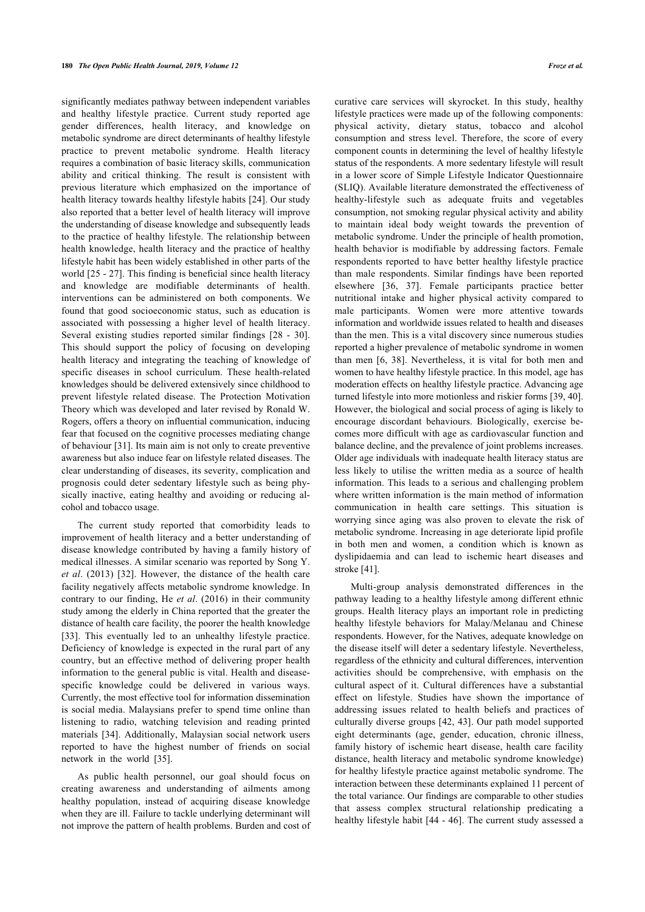significantly mediates pathway between independent variables and healthy lifestyle practice. Current study reported age gender differences, health literacy, and knowledge on metabolic syndrome are direct determinants of healthy lifestyle practice to prevent metabolic syndrome. Health literacy requires a combination of basic literacy skills, communication ability and critical thinking. The result is consistent with previous literature which emphasized on the importance of health literacy towards healthy lifestyle habits [[24\]](#page-10-23). Our study also reported that a better level of health literacy will improve the understanding of disease knowledge and subsequently leads to the practice of healthy lifestyle. The relationship between health knowledge, health literacy and the practice of healthy lifestyle habit has been widely established in other parts of the world [[25](#page-10-20) - [27\]](#page-10-24). This finding is beneficial since health literacy and knowledge are modifiable determinants of health. interventions can be administered on both components. We found that good socioeconomic status, such as education is associated with possessing a higher level of health literacy. Several existing studies reported similar findings[[28](#page-10-25) - [30\]](#page-10-26). This should support the policy of focusing on developing health literacy and integrating the teaching of knowledge of specific diseases in school curriculum. These health-related knowledges should be delivered extensively since childhood to prevent lifestyle related disease. The Protection Motivation Theory which was developed and later revised by Ronald W. Rogers, offers a theory on influential communication, inducing fear that focused on the cognitive processes mediating change of behaviour [\[31\]](#page-10-7). Its main aim is not only to create preventive awareness but also induce fear on lifestyle related diseases. The clear understanding of diseases, its severity, complication and prognosis could deter sedentary lifestyle such as being physically inactive, eating healthy and avoiding or reducing alcohol and tobacco usage.

The current study reported that comorbidity leads to improvement of health literacy and a better understanding of disease knowledge contributed by having a family history of medical illnesses. A similar scenario was reported by Song Y. *et al*. (2013)[[32\]](#page-10-27). However, the distance of the health care facility negatively affects metabolic syndrome knowledge. In contrary to our finding, He *et al*. (2016) in their community study among the elderly in China reported that the greater the distance of health care facility, the poorer the health knowledge [[33\]](#page-10-9). This eventually led to an unhealthy lifestyle practice. Deficiency of knowledge is expected in the rural part of any country, but an effective method of delivering proper health information to the general public is vital. Health and diseasespecific knowledge could be delivered in various ways. Currently, the most effective tool for information dissemination is social media. Malaysians prefer to spend time online than listening to radio, watching television and reading printed materials [[34](#page-10-10)]. Additionally, Malaysian social network users reported to have the highest number of friends on social network in the world [\[35](#page-10-28)].

As public health personnel, our goal should focus on creating awareness and understanding of ailments among healthy population, instead of acquiring disease knowledge when they are ill. Failure to tackle underlying determinant will not improve the pattern of health problems. Burden and cost of curative care services will skyrocket. In this study, healthy lifestyle practices were made up of the following components: physical activity, dietary status, tobacco and alcohol consumption and stress level. Therefore, the score of every component counts in determining the level of healthy lifestyle status of the respondents. A more sedentary lifestyle will result in a lower score of Simple Lifestyle Indicator Questionnaire (SLIQ). Available literature demonstrated the effectiveness of healthy-lifestyle such as adequate fruits and vegetables consumption, not smoking regular physical activity and ability to maintain ideal body weight towards the prevention of metabolic syndrome. Under the principle of health promotion, health behavior is modifiable by addressing factors. Female respondents reported to have better healthy lifestyle practice than male respondents. Similar findings have been reported elsewhere[[36](#page-10-29), [37\]](#page-10-30). Female participants practice better nutritional intake and higher physical activity compared to male participants. Women were more attentive towards information and worldwide issues related to health and diseases than the men. This is a vital discovery since numerous studies reported a higher prevalence of metabolic syndrome in women than men[[6](#page-10-2), [38\]](#page-10-13). Nevertheless, it is vital for both men and women to have healthy lifestyle practice. In this model, age has moderation effects on healthy lifestyle practice. Advancing age turned lifestyle into more motionless and riskier forms [[39,](#page-10-31) [40](#page-10-15)]. However, the biological and social process of aging is likely to encourage discordant behaviours. Biologically, exercise becomes more difficult with age as cardiovascular function and balance decline, and the prevalence of joint problems increases. Older age individuals with inadequate health literacy status are less likely to utilise the written media as a source of health information. This leads to a serious and challenging problem where written information is the main method of information communication in health care settings. This situation is worrying since aging was also proven to elevate the risk of metabolic syndrome. Increasing in age deteriorate lipid profile in both men and women, a condition which is known as dyslipidaemia and can lead to ischemic heart diseases and stroke [\[41](#page-10-22)].

Multi-group analysis demonstrated differences in the pathway leading to a healthy lifestyle among different ethnic groups. Health literacy plays an important role in predicting healthy lifestyle behaviors for Malay/Melanau and Chinese respondents. However, for the Natives, adequate knowledge on the disease itself will deter a sedentary lifestyle. Nevertheless, regardless of the ethnicity and cultural differences, intervention activities should be comprehensive, with emphasis on the cultural aspect of it. Cultural differences have a substantial effect on lifestyle. Studies have shown the importance of addressing issues related to health beliefs and practices of culturally diverse groups [\[42](#page-10-32), [43\]](#page-10-33). Our path model supported eight determinants (age, gender, education, chronic illness, family history of ischemic heart disease, health care facility distance, health literacy and metabolic syndrome knowledge) for healthy lifestyle practice against metabolic syndrome. The interaction between these determinants explained 11 percent of the total variance. Our findings are comparable to other studies that assess complex structural relationship predicating a healthy lifestyle habit [\[44](#page-11-0) - [46](#page-11-1)]. The current study assessed a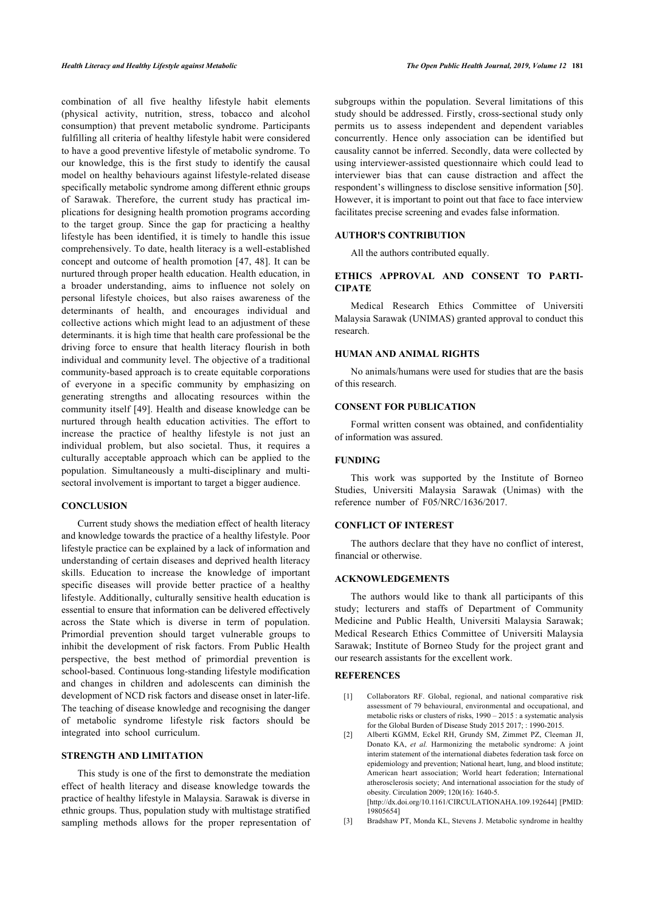combination of all five healthy lifestyle habit elements (physical activity, nutrition, stress, tobacco and alcohol consumption) that prevent metabolic syndrome. Participants fulfilling all criteria of healthy lifestyle habit were considered to have a good preventive lifestyle of metabolic syndrome. To our knowledge, this is the first study to identify the causal model on healthy behaviours against lifestyle-related disease specifically metabolic syndrome among different ethnic groups of Sarawak. Therefore, the current study has practical implications for designing health promotion programs according to the target group. Since the gap for practicing a healthy lifestyle has been identified, it is timely to handle this issue comprehensively. To date, health literacy is a well-established concept and outcome of health promotion [[47,](#page-11-2) [48\]](#page-11-3). It can be nurtured through proper health education. Health education, in a broader understanding, aims to influence not solely on personal lifestyle choices, but also raises awareness of the determinants of health, and encourages individual and collective actions which might lead to an adjustment of these determinants. it is high time that health care professional be the driving force to ensure that health literacy flourish in both individual and community level. The objective of a traditional community-based approach is to create equitable corporations of everyone in a specific community by emphasizing on generating strengths and allocating resources within the community itself [[49\]](#page-11-4). Health and disease knowledge can be nurtured through health education activities. The effort to increase the practice of healthy lifestyle is not just an individual problem, but also societal. Thus, it requires a culturally acceptable approach which can be applied to the population. Simultaneously a multi-disciplinary and multisectoral involvement is important to target a bigger audience.

# **CONCLUSION**

Current study shows the mediation effect of health literacy and knowledge towards the practice of a healthy lifestyle. Poor lifestyle practice can be explained by a lack of information and understanding of certain diseases and deprived health literacy skills. Education to increase the knowledge of important specific diseases will provide better practice of a healthy lifestyle. Additionally, culturally sensitive health education is essential to ensure that information can be delivered effectively across the State which is diverse in term of population. Primordial prevention should target vulnerable groups to inhibit the development of risk factors. From Public Health perspective, the best method of primordial prevention is school-based. Continuous long-standing lifestyle modification and changes in children and adolescents can diminish the development of NCD risk factors and disease onset in later-life. The teaching of disease knowledge and recognising the danger of metabolic syndrome lifestyle risk factors should be integrated into school curriculum.

# <span id="page-9-1"></span><span id="page-9-0"></span>**STRENGTH AND LIMITATION**

<span id="page-9-2"></span>This study is one of the first to demonstrate the mediation effect of health literacy and disease knowledge towards the practice of healthy lifestyle in Malaysia. Sarawak is diverse in ethnic groups. Thus, population study with multistage stratified sampling methods allows for the proper representation of subgroups within the population. Several limitations of this study should be addressed. Firstly, cross-sectional study only permits us to assess independent and dependent variables concurrently. Hence only association can be identified but causality cannot be inferred. Secondly, data were collected by using interviewer-assisted questionnaire which could lead to interviewer bias that can cause distraction and affect the respondent's willingness to disclose sensitive information [\[50](#page-11-5)]. However, it is important to point out that face to face interview facilitates precise screening and evades false information.

# **AUTHOR'S CONTRIBUTION**

All the authors contributed equally.

# **ETHICS APPROVAL AND CONSENT TO PARTI-CIPATE**

Medical Research Ethics Committee of Universiti Malaysia Sarawak (UNIMAS) granted approval to conduct this research.

# **HUMAN AND ANIMAL RIGHTS**

No animals/humans were used for studies that are the basis of this research.

# **CONSENT FOR PUBLICATION**

Formal written consent was obtained, and confidentiality of information was assured.

# **FUNDING**

This work was supported by the Institute of Borneo Studies, Universiti Malaysia Sarawak (Unimas) with the reference number of F05/NRC/1636/2017.

#### **CONFLICT OF INTEREST**

The authors declare that they have no conflict of interest, financial or otherwise.

# **ACKNOWLEDGEMENTS**

The authors would like to thank all participants of this study; lecturers and staffs of Department of Community Medicine and Public Health, Universiti Malaysia Sarawak; Medical Research Ethics Committee of Universiti Malaysia Sarawak; Institute of Borneo Study for the project grant and our research assistants for the excellent work.

# **REFERENCES**

- [1] Collaborators RF. Global, regional, and national comparative risk assessment of 79 behavioural, environmental and occupational, and metabolic risks or clusters of risks, 1990 – 2015 : a systematic analysis for the Global Burden of Disease Study 2015 2017; : 1990-2015.
- [2] Alberti KGMM, Eckel RH, Grundy SM, Zimmet PZ, Cleeman JI, Donato KA, *et al.* Harmonizing the metabolic syndrome: A joint interim statement of the international diabetes federation task force on epidemiology and prevention; National heart, lung, and blood institute; American heart association; World heart federation; International atherosclerosis society; And international association for the study of obesity. Circulation 2009; 120(16): 1640-5. [\[http://dx.doi.org/10.1161/CIRCULATIONAHA.109.192644\]](http://dx.doi.org/10.1161/CIRCULATIONAHA.109.192644) [PMID: [19805654\]](http://www.ncbi.nlm.nih.gov/pubmed/19805654)
- [3] Bradshaw PT, Monda KL, Stevens J. Metabolic syndrome in healthy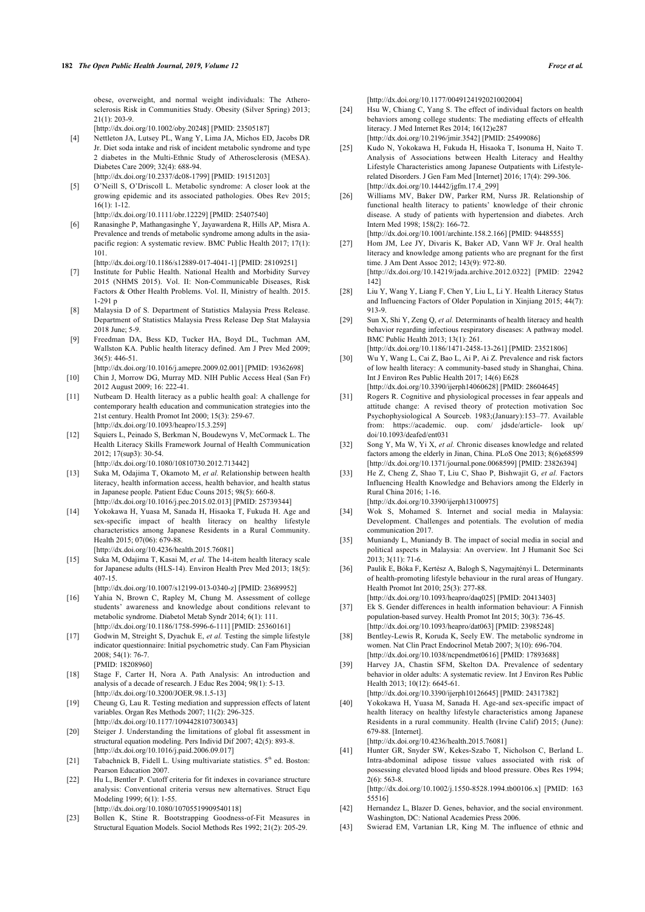obese, overweight, and normal weight individuals: The Atherosclerosis Risk in Communities Study. Obesity (Silver Spring) 2013; 21(1): 203-9.

[\[http://dx.doi.org/10.1002/oby.20248\]](http://dx.doi.org/10.1002/oby.20248) [PMID: [23505187\]](http://www.ncbi.nlm.nih.gov/pubmed/23505187)

- <span id="page-10-23"></span><span id="page-10-20"></span><span id="page-10-0"></span>[4] Nettleton JA, Lutsey PL, Wang Y, Lima JA, Michos ED, Jacobs DR Jr. Diet soda intake and risk of incident metabolic syndrome and type 2 diabetes in the Multi-Ethnic Study of Atherosclerosis (MESA). Diabetes Care 2009; 32(4): 688-94. [\[http://dx.doi.org/10.2337/dc08-1799](http://dx.doi.org/10.2337/dc08-1799)] [PMID: [19151203\]](http://www.ncbi.nlm.nih.gov/pubmed/19151203)
- <span id="page-10-21"></span><span id="page-10-1"></span>[5] O'Neill S, O'Driscoll L. Metabolic syndrome: A closer look at the growing epidemic and its associated pathologies. Obes Rev 2015; 16(1): 1-12.
- [\[http://dx.doi.org/10.1111/obr.12229\]](http://dx.doi.org/10.1111/obr.12229) [PMID: [25407540](http://www.ncbi.nlm.nih.gov/pubmed/25407540)]
- <span id="page-10-24"></span><span id="page-10-2"></span>[6] Ranasinghe P, Mathangasinghe Y, Jayawardena R, Hills AP, Misra A. Prevalence and trends of metabolic syndrome among adults in the asiapacific region: A systematic review. BMC Public Health 2017; 17(1): 101.

[\[http://dx.doi.org/10.1186/s12889-017-4041-1](http://dx.doi.org/10.1186/s12889-017-4041-1)] [PMID: [28109251\]](http://www.ncbi.nlm.nih.gov/pubmed/28109251)

- <span id="page-10-25"></span><span id="page-10-3"></span>[7] Institute for Public Health. National Health and Morbidity Survey 2015 (NHMS 2015). Vol. II: Non-Communicable Diseases, Risk Factors & Other Health Problems. Vol. II, Ministry of health. 2015. 1-291 p
- <span id="page-10-4"></span>[8] Malaysia D of S. Department of Statistics Malaysia Press Release. Department of Statistics Malaysia Press Release Dep Stat Malaysia 2018 June; 5-9.
- <span id="page-10-5"></span>[9] Freedman DA, Bess KD, Tucker HA, Boyd DL, Tuchman AM, Wallston KA. Public health literacy defined. Am J Prev Med 2009; 36(5): 446-51.
- <span id="page-10-26"></span><span id="page-10-6"></span>[\[http://dx.doi.org/10.1016/j.amepre.2009.02.001](http://dx.doi.org/10.1016/j.amepre.2009.02.001)] [PMID: [19362698\]](http://www.ncbi.nlm.nih.gov/pubmed/19362698) [10] Chin J, Morrow DG, Murray MD. NIH Public Access Heal (San Fr)
- 2012 August 2009; 16: 222-41.
- <span id="page-10-7"></span>[11] Nutbeam D. Health literacy as a public health goal: A challenge for contemporary health education and communication strategies into the 21st century. Health Promot Int 2000; 15(3): 259-67. [\[http://dx.doi.org/10.1093/heapro/15.3.259\]](http://dx.doi.org/10.1093/heapro/15.3.259)
- <span id="page-10-27"></span><span id="page-10-8"></span>[12] Squiers L, Peinado S, Berkman N, Boudewyns V, McCormack L. The Health Literacy Skills Framework Journal of Health Communication 2012; 17(sup3): 30-54.

[\[http://dx.doi.org/10.1080/10810730.2012.713442\]](http://dx.doi.org/10.1080/10810730.2012.713442)

- <span id="page-10-9"></span>[13] Suka M, Odajima T, Okamoto M, *et al.* Relationship between health literacy, health information access, health behavior, and health status in Japanese people. Patient Educ Couns 2015; 98(5): 660-8. [\[http://dx.doi.org/10.1016/j.pec.2015.02.013](http://dx.doi.org/10.1016/j.pec.2015.02.013)] [PMID: [25739344\]](http://www.ncbi.nlm.nih.gov/pubmed/25739344)
- <span id="page-10-10"></span>[14] Yokokawa H, Yuasa M, Sanada H, Hisaoka T, Fukuda H. Age and sex-specific impact of health literacy on healthy lifestyle characteristics among Japanese Residents in a Rural Community. Health 2015; 07(06): 679-88.
	- [\[http://dx.doi.org/10.4236/health.2015.76081](http://dx.doi.org/10.4236/health.2015.76081)]
- <span id="page-10-29"></span><span id="page-10-28"></span><span id="page-10-11"></span>[15] Suka M, Odajima T, Kasai M, *et al.* The 14-item health literacy scale for Japanese adults (HLS-14). Environ Health Prev Med 2013; 18(5): 407-15.

[\[http://dx.doi.org/10.1007/s12199-013-0340-z\]](http://dx.doi.org/10.1007/s12199-013-0340-z) [PMID: [23689952\]](http://www.ncbi.nlm.nih.gov/pubmed/23689952)

- <span id="page-10-30"></span><span id="page-10-12"></span>[16] Yahia N, Brown C, Rapley M, Chung M. Assessment of college students' awareness and knowledge about conditions relevant to metabolic syndrome. Diabetol Metab Syndr 2014; 6(1): 111. [\[http://dx.doi.org/10.1186/1758-5996-6-111](http://dx.doi.org/10.1186/1758-5996-6-111)] [PMID: [25360161\]](http://www.ncbi.nlm.nih.gov/pubmed/25360161)
- <span id="page-10-13"></span>[17] Godwin M, Streight S, Dyachuk E, *et al.* Testing the simple lifestyle indicator questionnaire: Initial psychometric study. Can Fam Physician 2008; 54(1): 76-7.
- <span id="page-10-31"></span><span id="page-10-14"></span>[PMID: [18208960](http://www.ncbi.nlm.nih.gov/pubmed/18208960)] [18] Stage F, Carter H, Nora A. Path Analysis: An introduction and analysis of a decade of research. J Educ Res 2004; 98(1): 5-13. [\[http://dx.doi.org/10.3200/JOER.98.1.5-13](http://dx.doi.org/10.3200/JOER.98.1.5-13)]
- <span id="page-10-15"></span>[19] Cheung G, Lau R. Testing mediation and suppression effects of latent variables. Organ Res Methods 2007; 11(2): 296-325. [\[http://dx.doi.org/10.1177/1094428107300343](http://dx.doi.org/10.1177/1094428107300343)]
- <span id="page-10-16"></span>[20] Steiger J. Understanding the limitations of global fit assessment in structural equation modeling. Pers Individ Dif 2007; 42(5): 893-8. [\[http://dx.doi.org/10.1016/j.paid.2006.09.017\]](http://dx.doi.org/10.1016/j.paid.2006.09.017)
- <span id="page-10-22"></span><span id="page-10-17"></span>[21] Tabachnick B, Fidell L. Using multivariate statistics.  $5<sup>th</sup>$  ed. Boston: Pearson Education 2007.
- <span id="page-10-18"></span>[22] Hu L, Bentler P. Cutoff criteria for fit indexes in covariance structure analysis: Conventional criteria versus new alternatives. Struct Equ Modeling 1999; 6(1): 1-55. [\[http://dx.doi.org/10.1080/10705519909540118\]](http://dx.doi.org/10.1080/10705519909540118)
- <span id="page-10-32"></span><span id="page-10-19"></span>[23] Bollen K, Stine R. Bootstrapping Goodness-of-Fit Measures in
- <span id="page-10-33"></span>Structural Equation Models. Sociol Methods Res 1992; 21(2): 205-29.

[\[http://dx.doi.org/10.1177/0049124192021002004\]](http://dx.doi.org/10.1177/0049124192021002004)

- [24] Hsu W, Chiang C, Yang S. The effect of individual factors on health behaviors among college students: The mediating effects of eHealth literacy. J Med Internet Res 2014; 16(12)e287 [\[http://dx.doi.org/10.2196/jmir.3542\]](http://dx.doi.org/10.2196/jmir.3542) [PMID: [25499086](http://www.ncbi.nlm.nih.gov/pubmed/25499086)]
- [25] Kudo N, Yokokawa H, Fukuda H, Hisaoka T, Isonuma H, Naito T. Analysis of Associations between Health Literacy and Healthy Lifestyle Characteristics among Japanese Outpatients with Lifestylerelated Disorders. J Gen Fam Med [Internet] 2016; 17(4): 299-306.  $[http://dx.doi.org/10.14442/jgfm.17.4299]$
- [26] Williams MV, Baker DW, Parker RM, Nurss JR. Relationship of functional health literacy to patients' knowledge of their chronic disease. A study of patients with hypertension and diabetes. Arch Intern Med 1998; 158(2): 166-72.
	- [\[http://dx.doi.org/10.1001/archinte.158.2.166\]](http://dx.doi.org/10.1001/archinte.158.2.166) [PMID: [9448555\]](http://www.ncbi.nlm.nih.gov/pubmed/9448555)
- [27] Hom JM, Lee JY, Divaris K, Baker AD, Vann WF Jr. Oral health literacy and knowledge among patients who are pregnant for the first time. J Am Dent Assoc 2012; 143(9): 972-80. [\[http://dx.doi.org/10.14219/jada.archive.2012.0322](http://dx.doi.org/10.14219/jada.archive.2012.0322)] [PMID: [22942](http://www.ncbi.nlm.nih.gov/pubmed/22942%20142) [142](http://www.ncbi.nlm.nih.gov/pubmed/22942%20142)]
- [28] Liu Y, Wang Y, Liang F, Chen Y, Liu L, Li Y. Health Literacy Status and Influencing Factors of Older Population in Xinjiang 2015; 44(7): 913-9.
- [29] Sun X, Shi Y, Zeng Q, *et al.* Determinants of health literacy and health behavior regarding infectious respiratory diseases: A pathway model. BMC Public Health 2013; 13(1): 261.
	- [\[http://dx.doi.org/10.1186/1471-2458-13-261\]](http://dx.doi.org/10.1186/1471-2458-13-261) [PMID: [23521806\]](http://www.ncbi.nlm.nih.gov/pubmed/23521806)
- [30] Wu Y, Wang L, Cai Z, Bao L, Ai P, Ai Z. Prevalence and risk factors of low health literacy: A community-based study in Shanghai, China. Int J Environ Res Public Health 2017; 14(6) E628 [\[http://dx.doi.org/10.3390/ijerph14060628\]](http://dx.doi.org/10.3390/ijerph14060628) [PMID: [28604645](http://www.ncbi.nlm.nih.gov/pubmed/28604645)]
	-
- [31] Rogers R. Cognitive and physiological processes in fear appeals and attitude change: A revised theory of protection motivation Soc Psychophysiological A Sourceb. 1983;(January):153–77. Available from: https://academic. oup. com/ jdsde/article- look [doi/10.1093/deafed/ent031](https://academic.oup.com/jdsde/article-lookup/doi/10.1093/deafed/ent031)
- [32] Song Y, Ma W, Yi X, *et al.* Chronic diseases knowledge and related factors among the elderly in Jinan, China. PLoS One 2013; 8(6)e68599 [\[http://dx.doi.org/10.1371/journal.pone.0068599\]](http://dx.doi.org/10.1371/journal.pone.0068599) [PMID: [23826394\]](http://www.ncbi.nlm.nih.gov/pubmed/23826394)
- [33] He Z, Cheng Z, Shao T, Liu C, Shao P, Bishwajit G, et al. Factors Influencing Health Knowledge and Behaviors among the Elderly in Rural China 2016; 1-16. [\[http://dx.doi.org/10.3390/ijerph13100975\]](http://dx.doi.org/10.3390/ijerph13100975)

[34] Wok S, Mohamed S. Internet and social media in Malaysia: Development. Challenges and potentials. The evolution of media

- communication 2017. [35] Muniandy L, Muniandy B. The impact of social media in social and political aspects in Malaysia: An overview. Int J Humanit Soc Sci
- 2013; 3(11): 71-6. [36] Paulik E, Bóka F, Kertész A, Balogh S, Nagymajtényi L. Determinants of health-promoting lifestyle behaviour in the rural areas of Hungary. Health Promot Int 2010; 25(3): 277-88.
	- [\[http://dx.doi.org/10.1093/heapro/daq025](http://dx.doi.org/10.1093/heapro/daq025)] [PMID: [20413403\]](http://www.ncbi.nlm.nih.gov/pubmed/20413403)
- [37] Ek S. Gender differences in health information behaviour: A Finnish population-based survey. Health Promot Int 2015; 30(3): 736-45. [\[http://dx.doi.org/10.1093/heapro/dat063\]](http://dx.doi.org/10.1093/heapro/dat063) [PMID: [23985248](http://www.ncbi.nlm.nih.gov/pubmed/23985248)]
- [38] Bentley-Lewis R, Koruda K, Seely EW. The metabolic syndrome in women. Nat Clin Pract Endocrinol Metab 2007; 3(10): 696-704. [\[http://dx.doi.org/10.1038/ncpendmet0616](http://dx.doi.org/10.1038/ncpendmet0616)] [PMID: [17893688\]](http://www.ncbi.nlm.nih.gov/pubmed/17893688)
- [39] Harvey JA, Chastin SFM, Skelton DA. Prevalence of sedentary behavior in older adults: A systematic review. Int J Environ Res Public Health 2013; 10(12): 6645-61.
- [\[http://dx.doi.org/10.3390/ijerph10126645\]](http://dx.doi.org/10.3390/ijerph10126645) [PMID: [24317382](http://www.ncbi.nlm.nih.gov/pubmed/24317382)]
- [40] Yokokawa H, Yuasa M, Sanada H. Age-and sex-specific impact of health literacy on healthy lifestyle characteristics among Japanese Residents in a rural community. Health (Irvine Calif) 2015; (June): 679-88. [Internet].

[\[http://dx.doi.org/10.4236/health.2015.76081\]](http://dx.doi.org/10.4236/health.2015.76081)

[41] Hunter GR, Snyder SW, Kekes-Szabo T, Nicholson C, Berland L. Intra-abdominal adipose tissue values associated with risk of possessing elevated blood lipids and blood pressure. Obes Res 1994; 2(6): 563-8. [\[http://dx.doi.org/10.1002/j.1550-8528.1994.tb00106.x\]](http://dx.doi.org/10.1002/j.1550-8528.1994.tb00106.x) [PMID: [163](http://www.ncbi.nlm.nih.gov/pubmed/163%2055516)

[55516](http://www.ncbi.nlm.nih.gov/pubmed/163%2055516)]

- [42] Hernandez L, Blazer D. Genes, behavior, and the social environment. Washington, DC: National Academies Press 2006.
- [43] Swierad EM, Vartanian LR, King M. The influence of ethnic and